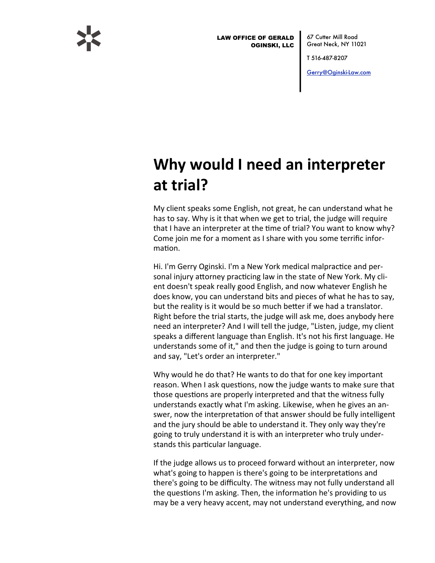

**LAW OFFICE OF GERALD OGINSKI, LLC** 

67 Cutter Mill Road Great Neck, NY 11021

T 516-487-8207

Gerry@Oginski-Law.com

## Why would I need an interpreter at trial?

My client speaks some English, not great, he can understand what he has to say. Why is it that when we get to trial, the judge will require that I have an interpreter at the time of trial? You want to know why? Come join me for a moment as I share with you some terrific information.

Hi. I'm Gerry Oginski. I'm a New York medical malpractice and personal injury attorney practicing law in the state of New York. My client doesn't speak really good English, and now whatever English he does know, you can understand bits and pieces of what he has to say, but the reality is it would be so much better if we had a translator. Right before the trial starts, the judge will ask me, does anybody here need an interpreter? And I will tell the judge, "Listen, judge, my client speaks a different language than English. It's not his first language. He understands some of it," and then the judge is going to turn around and say, "Let's order an interpreter."

Why would he do that? He wants to do that for one key important reason. When I ask questions, now the judge wants to make sure that those questions are properly interpreted and that the witness fully understands exactly what I'm asking. Likewise, when he gives an answer, now the interpretation of that answer should be fully intelligent and the jury should be able to understand it. They only way they're going to truly understand it is with an interpreter who truly understands this particular language.

If the judge allows us to proceed forward without an interpreter, now what's going to happen is there's going to be interpretations and there's going to be difficulty. The witness may not fully understand all the questions I'm asking. Then, the information he's providing to us may be a very heavy accent, may not understand everything, and now